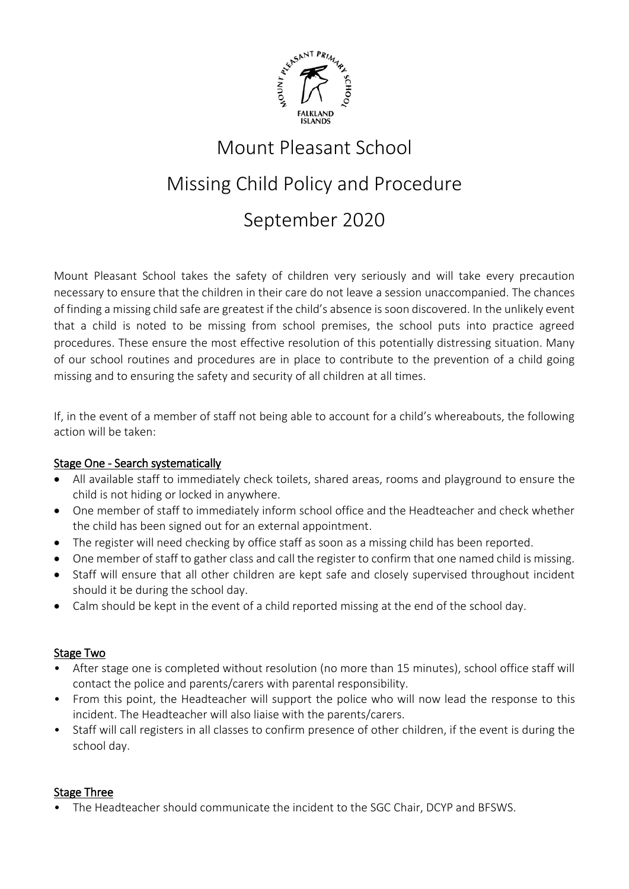

# Mount Pleasant School Missing Child Policy and Procedure September 2020

Mount Pleasant School takes the safety of children very seriously and will take every precaution necessary to ensure that the children in their care do not leave a session unaccompanied. The chances of finding a missing child safe are greatest if the child's absence is soon discovered. In the unlikely event that a child is noted to be missing from school premises, the school puts into practice agreed procedures. These ensure the most effective resolution of this potentially distressing situation. Many of our school routines and procedures are in place to contribute to the prevention of a child going missing and to ensuring the safety and security of all children at all times.

If, in the event of a member of staff not being able to account for a child's whereabouts, the following action will be taken:

## Stage One - Search systematically

- All available staff to immediately check toilets, shared areas, rooms and playground to ensure the child is not hiding or locked in anywhere.
- One member of staff to immediately inform school office and the Headteacher and check whether the child has been signed out for an external appointment.
- The register will need checking by office staff as soon as a missing child has been reported.
- One member of staff to gather class and call the register to confirm that one named child is missing.
- Staff will ensure that all other children are kept safe and closely supervised throughout incident should it be during the school day.
- Calm should be kept in the event of a child reported missing at the end of the school day.

## Stage Two

- After stage one is completed without resolution (no more than 15 minutes), school office staff will contact the police and parents/carers with parental responsibility.
- From this point, the Headteacher will support the police who will now lead the response to this incident. The Headteacher will also liaise with the parents/carers.
- Staff will call registers in all classes to confirm presence of other children, if the event is during the school day.

## Stage Three

• The Headteacher should communicate the incident to the SGC Chair, DCYP and BFSWS.